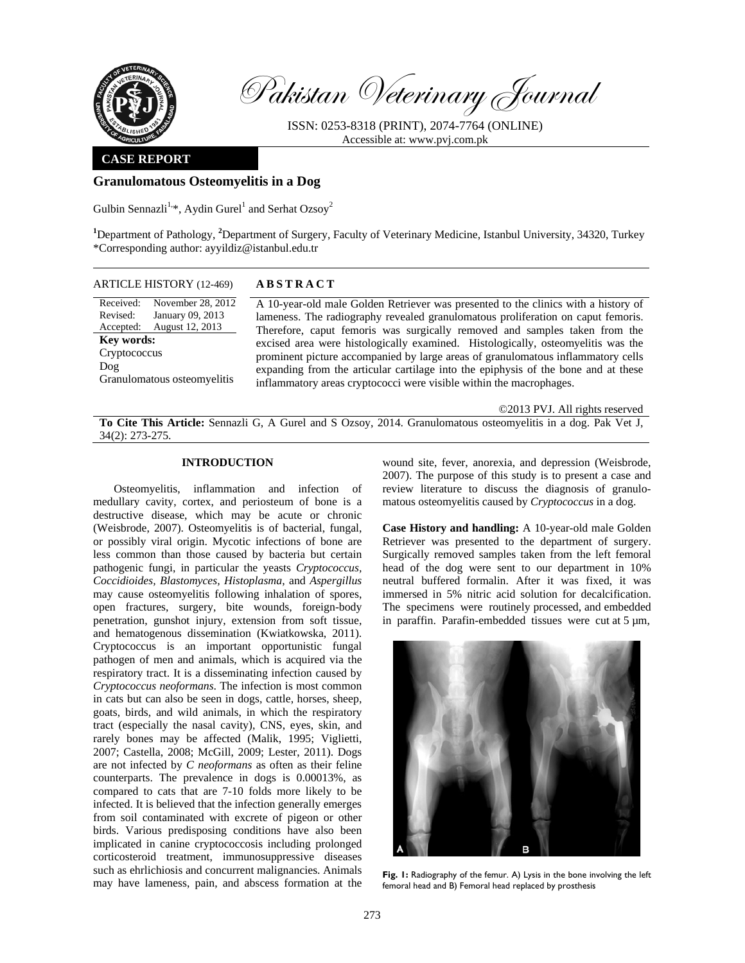

Pakistan Veterinary Journal

ISSN: 0253-8318 (PRINT), 2074-7764 (ONLINE) Accessible at: www.pvj.com.pk

## **CASE REPORT**

# **Granulomatous Osteomyelitis in a Dog**

Gulbin Sennazli<sup>1,\*</sup>, Aydin Gurel<sup>1</sup> and Serhat Ozsoy<sup>2</sup>

<sup>1</sup>Department of Pathology, <sup>2</sup>Department of Surgery, Faculty of Veterinary Medicine, Istanbul University, 34320, Turkey \*Corresponding author: ayyildiz@istanbul.edu.tr

# ARTICLE HISTORY (12-469) **ABSTRACT**

Received: Revised: Accepted: November 28, 2012 January 09, 2013 August 12, 2013 **Key words: Cryptococcus** Dog Granulomatous osteomyelitis

 A 10-year-old male Golden Retriever was presented to the clinics with a history of lameness. The radiography revealed granulomatous proliferation on caput femoris. Therefore, caput femoris was surgically removed and samples taken from the excised area were histologically examined. Histologically, osteomyelitis was the prominent picture accompanied by large areas of granulomatous inflammatory cells expanding from the articular cartilage into the epiphysis of the bone and at these inflammatory areas cryptococci were visible within the macrophages.

©2013 PVJ. All rights reserved

**To Cite This Article:** Sennazli G, A Gurel and S Ozsoy, 2014. Granulomatous osteomyelitis in a dog. Pak Vet J, 34(2): 273-275.

## **INTRODUCTION**

Osteomyelitis, inflammation and infection of medullary cavity, cortex, and periosteum of bone is a destructive disease, which may be acute or chronic (Weisbrode, 2007). Osteomyelitis is of bacterial, fungal, or possibly viral origin. Mycotic infections of bone are less common than those caused by bacteria but certain pathogenic fungi, in particular the yeasts *Cryptococcus, Coccidioides, Blastomyces, Histoplasma*, and *Aspergillus* may cause osteomyelitis following inhalation of spores, open fractures, surgery, bite wounds, foreign-body penetration, gunshot injury, extension from soft tissue, and hematogenous dissemination (Kwiatkowska, 2011). Cryptococcus is an important opportunistic fungal pathogen of men and animals, which is acquired via the respiratory tract. It is a disseminating infection caused by *Cryptococcus neoformans*. The infection is most common in cats but can also be seen in dogs, cattle, horses, sheep, goats, birds, and wild animals, in which the respiratory tract (especially the nasal cavity), CNS, eyes, skin, and rarely bones may be affected (Malik, 1995; Viglietti, 2007; Castella, 2008; McGill, 2009; Lester, 2011). Dogs are not infected by *C neoformans* as often as their feline counterparts. The prevalence in dogs is 0.00013%, as compared to cats that are 7-10 folds more likely to be infected. It is believed that the infection generally emerges from soil contaminated with excrete of pigeon or other birds. Various predisposing conditions have also been implicated in canine cryptococcosis including prolonged corticosteroid treatment, immunosuppressive diseases such as ehrlichiosis and concurrent malignancies. Animals may have lameness, pain, and abscess formation at the

wound site, fever, anorexia, and depression (Weisbrode, 2007). The purpose of this study is to present a case and review literature to discuss the diagnosis of granulomatous osteomyelitis caused by *Cryptococcus* in a dog.

**Case History and handling:** A 10-year-old male Golden Retriever was presented to the department of surgery. Surgically removed samples taken from the left femoral head of the dog were sent to our department in 10% neutral buffered formalin. After it was fixed, it was immersed in 5% nitric acid solution for decalcification. The specimens were routinely processed, and embedded in paraffin. Parafin-embedded tissues were cut at  $5 \mu m$ ,



**Fig. 1:** Radiography of the femur. A) Lysis in the bone involving the left femoral head and B) Femoral head replaced by prosthesis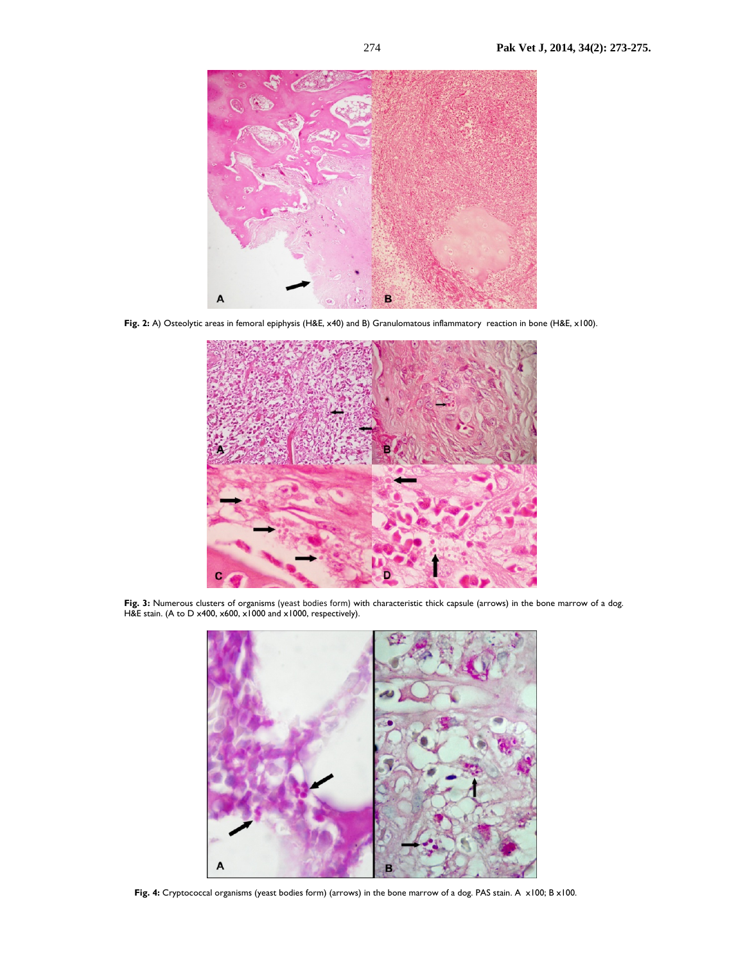

**Fig. 2:** A) Osteolytic areas in femoral epiphysis (H&E, x40) and B) Granulomatous inflammatory reaction in bone (H&E, x100).



**Fig. 3:** Numerous clusters of organisms (yeast bodies form) with characteristic thick capsule (arrows) in the bone marrow of a dog. H&E stain. (A to D x400, x600, x1000 and x1000, respectively).



**Fig. 4:** Cryptococcal organisms (yeast bodies form) (arrows) in the bone marrow of a dog. PAS stain. A x100; B x100.